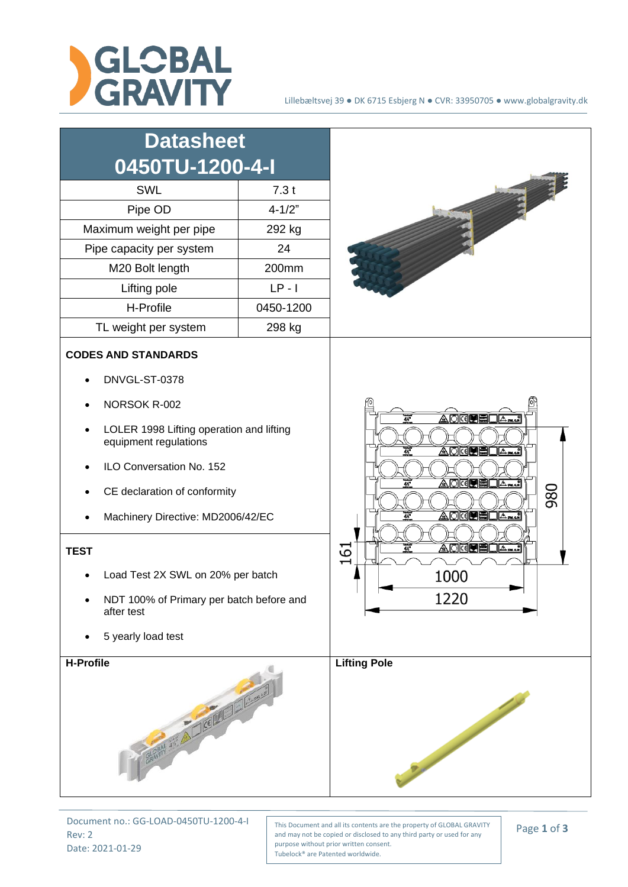

| <b>Datasheet</b><br>0450TU-1200-4-I<br><b>SWL</b><br>Pipe OD<br>Maximum weight per pipe<br>Pipe capacity per system<br>M20 Bolt length<br>Lifting pole<br>H-Profile<br>TL weight per system                                                                                                                                                                           | 7.3t<br>$4 - 1/2"$<br>292 kg<br>24<br>200mm<br>$LP - I$<br>0450-1200<br>298 kg |                                                                                                                 |
|-----------------------------------------------------------------------------------------------------------------------------------------------------------------------------------------------------------------------------------------------------------------------------------------------------------------------------------------------------------------------|--------------------------------------------------------------------------------|-----------------------------------------------------------------------------------------------------------------|
| <b>CODES AND STANDARDS</b><br>DNVGL-ST-0378<br>NORSOK R-002<br>LOLER 1998 Lifting operation and lifting<br>equipment regulations<br>ILO Conversation No. 152<br>CE declaration of conformity<br>Machinery Directive: MD2006/42/EC<br><b>TEST</b><br>Load Test 2X SWL on 20% per batch<br>NDT 100% of Primary per batch before and<br>after test<br>5 yearly load test |                                                                                | A Mari<br>4X<br><b>OKER</b><br>Asmac<br>4%<br>980<br><b>◬◙◙◙圓圓◘<sub></sub></b><br>4X<br>5<br>4%<br>1000<br>1220 |
| <b>H-Profile</b><br>CRAPTY AND A COLLECTION                                                                                                                                                                                                                                                                                                                           |                                                                                | <b>Lifting Pole</b>                                                                                             |

Document no.: GG-LOAD-0450TU-1200-4-I Rev: 2 Date: 2021-01-29

This Document and all its contents are the property of GLOBAL GRAVITY and may not be copied or disclosed to any third party or used for any purpose without prior written consent. Tubelock® are Patented worldwide.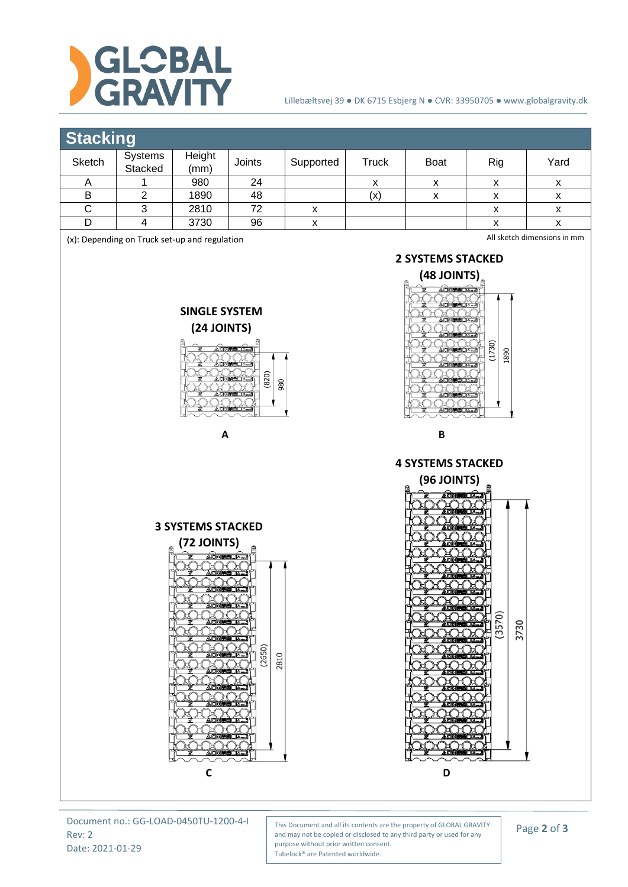

## Lillebæltsvej 39 ● DK 6715 Esbjerg N ● CVR: 33950705 ● www.globalgravity.dk

## **Stacking**

| Sketch                                                                                                                                                                                                                                                                                                        | Systems<br>Stacked | Height<br>(mm) | Joints | Supported          | <b>Truck</b>                                                                                                 | Boat                                                                                                                                                                                  | Rig                          | Yard               |
|---------------------------------------------------------------------------------------------------------------------------------------------------------------------------------------------------------------------------------------------------------------------------------------------------------------|--------------------|----------------|--------|--------------------|--------------------------------------------------------------------------------------------------------------|---------------------------------------------------------------------------------------------------------------------------------------------------------------------------------------|------------------------------|--------------------|
| A                                                                                                                                                                                                                                                                                                             | 1                  | 980            | 24     |                    | X                                                                                                            | X                                                                                                                                                                                     | $\pmb{\mathsf{x}}$           | X                  |
| B                                                                                                                                                                                                                                                                                                             | $\overline{2}$     | 1890           | 48     |                    | (x)                                                                                                          | $\pmb{\mathsf{x}}$                                                                                                                                                                    | $\pmb{\mathsf{X}}$           | $\pmb{\mathsf{x}}$ |
| $\overline{C}$                                                                                                                                                                                                                                                                                                | 3                  | 2810           | 72     | $\pmb{\mathsf{X}}$ |                                                                                                              |                                                                                                                                                                                       | $\pmb{\mathsf{X}}$           | $\pmb{\mathsf{x}}$ |
| $\mathsf D$                                                                                                                                                                                                                                                                                                   | $\overline{4}$     | 3730           | 96     | $\pmb{\mathsf{X}}$ |                                                                                                              |                                                                                                                                                                                       | $\pmb{\mathsf{x}}$           | $\pmb{\mathsf{X}}$ |
| (x): Depending on Truck set-up and regulation<br><b>SINGLE SYSTEM</b><br>(24 JOINTS)<br><b>ADKUMLA.J</b><br><b>ADK®BELA…</b>                                                                                                                                                                                  |                    |                |        |                    | All sketch dimensions in mm<br><b>2 SYSTEMS STACKED</b><br>(48 JOINTS)<br><b>ADK@ELA.J</b><br>(1730)<br>1890 |                                                                                                                                                                                       |                              |                    |
| (820)<br>980<br>A                                                                                                                                                                                                                                                                                             |                    |                |        |                    | $\pmb B$<br><b>4 SYSTEMS STACKED</b>                                                                         |                                                                                                                                                                                       |                              |                    |
| <b>3 SYSTEMS STACKED</b><br>(72 JOINTS)<br><b>ADRETHELA.J</b><br>Ξ<br><b>ADKESHOAR</b><br>IO C<br>È<br><b>ADKO BLAT</b><br>(2650)<br><b>AOKEBOA…]</b><br>2810<br>H<br><b>ADKEELAM</b><br>⊭িা<br><b>ADKITELA.</b><br>ADKE HELA<br><b>AOKEEDA</b><br>ď<br><b>ADKE BLAND</b><br>ぱ<br>Л<br><u> Adkeelila</u><br>C |                    |                |        |                    |                                                                                                              | (96 JOINTS)<br><b>DRESS And</b><br><b>DKGSOA</b><br><b>ADKOMO DA </b><br>HOOL<br><b>DKGRSDAM</b><br><b>DKG BILL</b><br>AORE<br><b>DKOREL LA.</b><br><b>MORE</b><br><b>JOKERS</b><br>D | ō<br>3730<br>(357)<br>تحملتا |                    |

Document no.: GG-LOAD-0450TU-1200-4-I Rev: 2 Date: 2021-01-29

This Document and all its contents are the property of GLOBAL GRAVITY and may not be copied or disclosed to any third party or used for any purpose without prior written consent. Tubelock® are Patented worldwide.

Page **2** of **3**